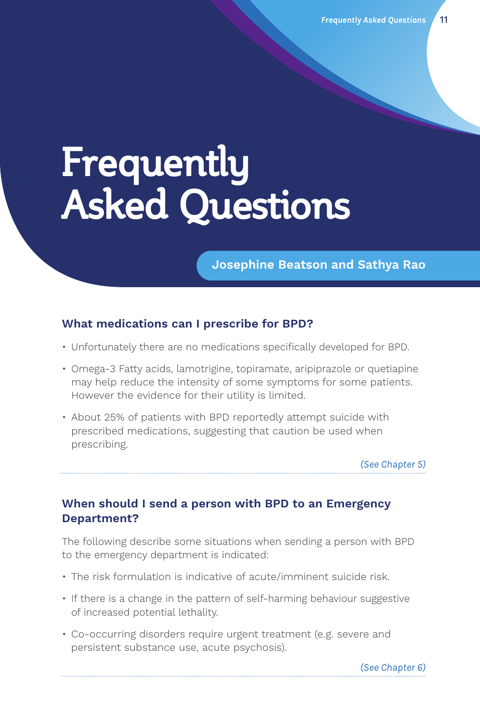# **Frequently Asked Questions**

**Josephine Beatson and Sathya Rao**

#### **What medications can I prescribe for BPD?**

- Unfortunately there are no medications specifically developed for BPD.
- Omega-3 Fatty acids, lamotrigine, topiramate, aripiprazole or quetiapine may help reduce the intensity of some symptoms for some patients. However the evidence for their utility is limited.
- About 25% of patients with BPD reportedly attempt suicide with prescribed medications, suggesting that caution be used when prescribing.

*(See Chapter 5)*

## **When should I send a person with BPD to an Emergency Department?**

The following describe some situations when sending a person with BPD to the emergency department is indicated:

- The risk formulation is indicative of acute/imminent suicide risk.
- If there is a change in the pattern of self-harming behaviour suggestive of increased potential lethality.
- Co-occurring disorders require urgent treatment (e.g. severe and persistent substance use, acute psychosis).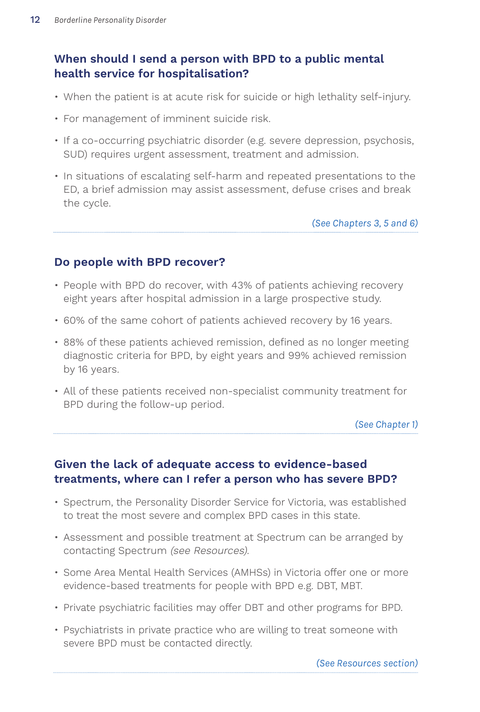# **When should I send a person with BPD to a public mental health service for hospitalisation?**

- When the patient is at acute risk for suicide or high lethality self-injury.
- For management of imminent suicide risk.
- If a co-occurring psychiatric disorder (e.g. severe depression, psychosis, SUD) requires urgent assessment, treatment and admission.
- In situations of escalating self-harm and repeated presentations to the ED, a brief admission may assist assessment, defuse crises and break the cycle.

*(See Chapters 3, 5 and 6)*

#### **Do people with BPD recover?**

- People with BPD do recover, with 43% of patients achieving recovery eight years after hospital admission in a large prospective study.
- 60% of the same cohort of patients achieved recovery by 16 years.
- 88% of these patients achieved remission, defined as no longer meeting diagnostic criteria for BPD, by eight years and 99% achieved remission by 16 years.
- All of these patients received non-specialist community treatment for BPD during the follow-up period.

*(See Chapter 1)*

## **Given the lack of adequate access to evidence-based treatments, where can I refer a person who has severe BPD?**

- Spectrum, the Personality Disorder Service for Victoria, was established to treat the most severe and complex BPD cases in this state.
- Assessment and possible treatment at Spectrum can be arranged by contacting Spectrum (see Resources).
- Some Area Mental Health Services (AMHSs) in Victoria offer one or more evidence-based treatments for people with BPD e.g. DBT, MBT.
- Private psychiatric facilities may offer DBT and other programs for BPD.
- Psychiatrists in private practice who are willing to treat someone with severe BPD must be contacted directly.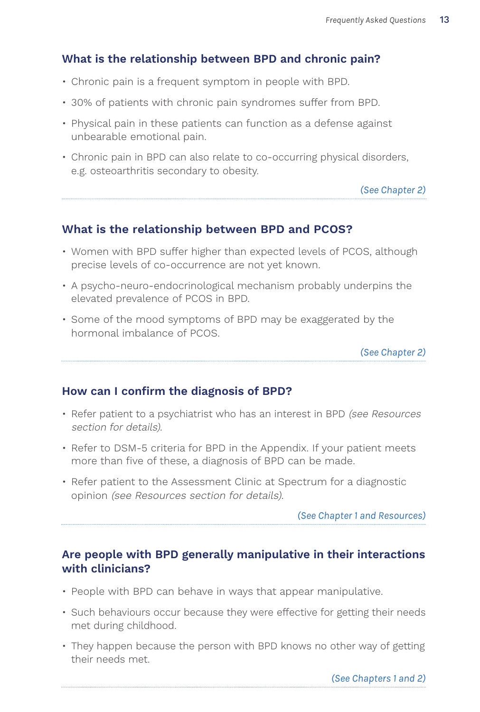## **What is the relationship between BPD and chronic pain?**

- Chronic pain is a frequent symptom in people with BPD.
- 30% of patients with chronic pain syndromes suffer from BPD.
- Physical pain in these patients can function as a defense against unbearable emotional pain.
- Chronic pain in BPD can also relate to co-occurring physical disorders, e.g. osteoarthritis secondary to obesity.

*(See Chapter 2)*

## **What is the relationship between BPD and PCOS?**

- Women with BPD suffer higher than expected levels of PCOS, although precise levels of co-occurrence are not yet known.
- A psycho-neuro-endocrinological mechanism probably underpins the elevated prevalence of PCOS in BPD.
- Some of the mood symptoms of BPD may be exaggerated by the hormonal imbalance of PCOS.

*(See Chapter 2)*

#### **How can I confirm the diagnosis of BPD?**

- Refer patient to a psychiatrist who has an interest in BPD (see Resources section for details).
- Refer to DSM-5 criteria for BPD in the Appendix. If your patient meets more than five of these, a diagnosis of BPD can be made.
- Refer patient to the Assessment Clinic at Spectrum for a diagnostic opinion (see Resources section for details).

*(See Chapter 1 and Resources)* 

#### **Are people with BPD generally manipulative in their interactions with clinicians?**

- People with BPD can behave in ways that appear manipulative.
- Such behaviours occur because they were effective for getting their needs met during childhood.
- They happen because the person with BPD knows no other way of getting their needs met.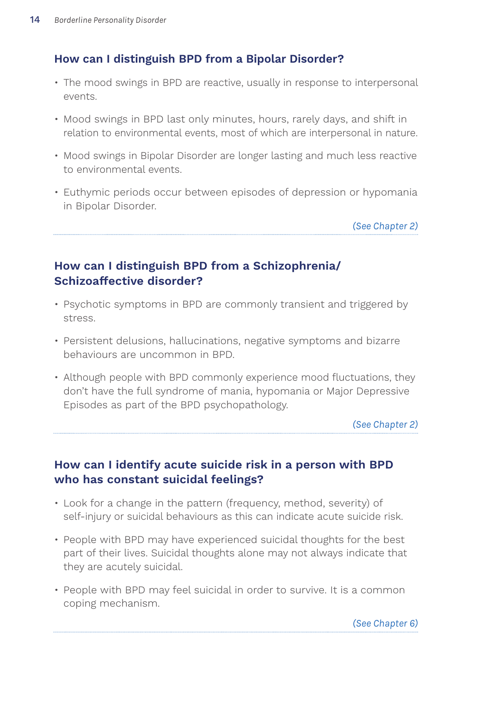## **How can I distinguish BPD from a Bipolar Disorder?**

- The mood swings in BPD are reactive, usually in response to interpersonal events.
- Mood swings in BPD last only minutes, hours, rarely days, and shift in relation to environmental events, most of which are interpersonal in nature.
- Mood swings in Bipolar Disorder are longer lasting and much less reactive to environmental events.
- Euthymic periods occur between episodes of depression or hypomania in Bipolar Disorder.

*(See Chapter 2)*

# **How can I distinguish BPD from a Schizophrenia/ Schizoaffective disorder?**

- Psychotic symptoms in BPD are commonly transient and triggered by stress.
- Persistent delusions, hallucinations, negative symptoms and bizarre behaviours are uncommon in BPD.
- Although people with BPD commonly experience mood fluctuations, they don't have the full syndrome of mania, hypomania or Major Depressive Episodes as part of the BPD psychopathology.

*(See Chapter 2)*

## **How can I identify acute suicide risk in a person with BPD who has constant suicidal feelings?**

- Look for a change in the pattern (frequency, method, severity) of self-injury or suicidal behaviours as this can indicate acute suicide risk.
- People with BPD may have experienced suicidal thoughts for the best part of their lives. Suicidal thoughts alone may not always indicate that they are acutely suicidal.
- People with BPD may feel suicidal in order to survive. It is a common coping mechanism.

*(See Chapter 6)*